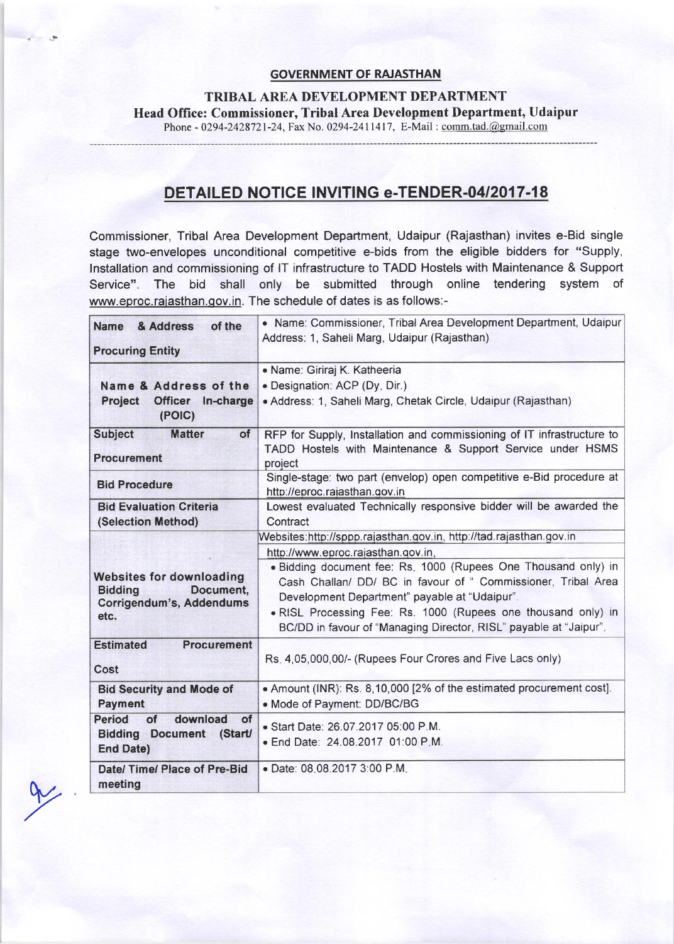## GOVERNMENT OF RAJASTHAN

TRIBAL AREA DEVELOPMENT DEPARTMENT Head Office: Commissioner, Tribal Area Development Department, Udaipur Phone - 0294-2428721-24, Fax No. 0294-2411417, E-Mail: comm.tad.@gmail.com

## DETAILED NOTICE INVITING e-TENDER-04/2017-18

Commissioner, Tribal Area Development Department, Udaipur (Rajasthan) invites e-Bid single stage two-envelopes unconditional competitive e-bids from the eligible bidders for "Supply, lnstallation and commissioning of lT infrastructure to TADD Hostels with Maintenance & Support Service". The bid shall only be submitted through online tendering system of www.eproc.raiasthan.qov.in. The schedule of dates is as follows:-

| of the<br>Name & Address                                                                           | • Name: Commissioner, Tribal Area Development Department, Udaipur<br>Address: 1, Saheli Marg, Udaipur (Rajasthan)                                                                                                                                                                                                                                                                                                                  |
|----------------------------------------------------------------------------------------------------|------------------------------------------------------------------------------------------------------------------------------------------------------------------------------------------------------------------------------------------------------------------------------------------------------------------------------------------------------------------------------------------------------------------------------------|
| <b>Procuring Entity</b>                                                                            |                                                                                                                                                                                                                                                                                                                                                                                                                                    |
| Name & Address of the<br>Project<br>Officer In-charge<br>(POIC)                                    | · Name: Giriraj K. Katheeria<br>· Designation: ACP (Dy. Dir.)<br>• Address: 1, Saheli Marg, Chetak Circle, Udaipur (Rajasthan)                                                                                                                                                                                                                                                                                                     |
| <b>Subject</b><br><b>Matter</b><br>of<br><b>Procurement</b>                                        | RFP for Supply, Installation and commissioning of IT infrastructure to<br>TADD Hostels with Maintenance & Support Service under HSMS<br>project                                                                                                                                                                                                                                                                                    |
| <b>Bid Procedure</b>                                                                               | Single-stage: two part (envelop) open competitive e-Bid procedure at<br>http://eproc.rajasthan.gov.in                                                                                                                                                                                                                                                                                                                              |
| <b>Bid Evaluation Criteria</b><br>(Selection Method)                                               | Lowest evaluated Technically responsive bidder will be awarded the<br>Contract                                                                                                                                                                                                                                                                                                                                                     |
| <b>Websites for downloading</b><br>Document,<br><b>Bidding</b><br>Corrigendum's, Addendums<br>etc. | Websites:http://sppp.rajasthan.gov.in, http://tad.rajasthan.gov.in<br>http://www.eproc.rajasthan.gov.in.<br>· Bidding document fee: Rs. 1000 (Rupees One Thousand only) in<br>Cash Challan/ DD/ BC in favour of " Commissioner, Tribal Area<br>Development Department" payable at "Udaipur".<br>. RISL Processing Fee: Rs. 1000 (Rupees one thousand only) in<br>BC/DD in favour of "Managing Director, RISL" payable at "Jaipur". |
| <b>Estimated</b><br><b>Procurement</b><br>Cost                                                     | Rs. 4,05,000,00/- (Rupees Four Crores and Five Lacs only)                                                                                                                                                                                                                                                                                                                                                                          |
| <b>Bid Security and Mode of</b><br><b>Payment</b>                                                  | • Amount (INR): Rs. 8,10,000 [2% of the estimated procurement cost].<br>· Mode of Payment: DD/BC/BG                                                                                                                                                                                                                                                                                                                                |
| <b>Period</b><br>of<br>download<br>of<br><b>Bidding Document (Start/</b><br><b>End Date)</b>       | · Start Date: 26.07.2017 05:00 P.M.<br>· End Date: 24.08.2017 01:00 P.M.                                                                                                                                                                                                                                                                                                                                                           |
| Date/ Time/ Place of Pre-Bid<br>meeting                                                            | · Date: 08.08.2017 3:00 P.M.                                                                                                                                                                                                                                                                                                                                                                                                       |

 $\infty$